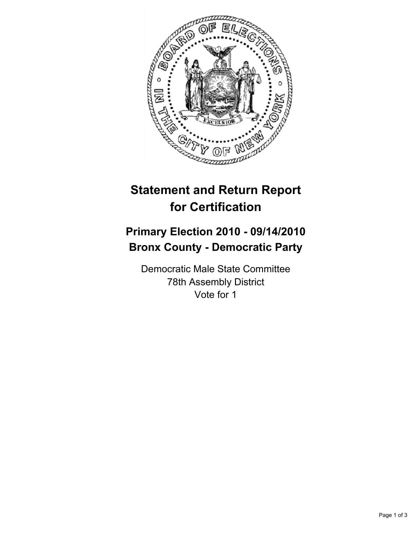

# **Statement and Return Report for Certification**

## **Primary Election 2010 - 09/14/2010 Bronx County - Democratic Party**

Democratic Male State Committee 78th Assembly District Vote for 1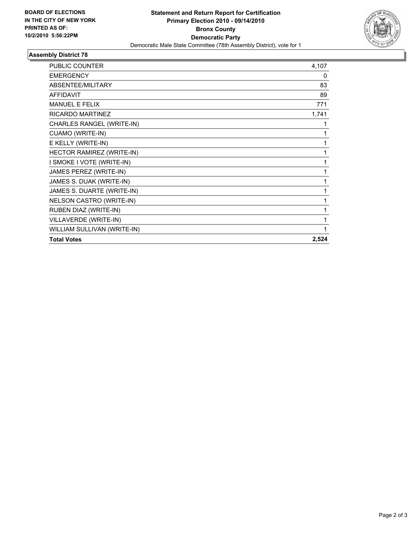

### **Assembly District 78**

| <b>PUBLIC COUNTER</b>       | 4,107 |
|-----------------------------|-------|
| <b>EMERGENCY</b>            | 0     |
| ABSENTEE/MILITARY           | 83    |
| <b>AFFIDAVIT</b>            | 89    |
| <b>MANUEL E FELIX</b>       | 771   |
| <b>RICARDO MARTINEZ</b>     | 1,741 |
| CHARLES RANGEL (WRITE-IN)   | 1     |
| CUAMO (WRITE-IN)            | 1     |
| E KELLY (WRITE-IN)          | 1     |
| HECTOR RAMIREZ (WRITE-IN)   | 1     |
| I SMOKE I VOTE (WRITE-IN)   | 1     |
| JAMES PEREZ (WRITE-IN)      | 1     |
| JAMES S. DUAK (WRITE-IN)    | 1     |
| JAMES S. DUARTE (WRITE-IN)  | 1     |
| NELSON CASTRO (WRITE-IN)    | 1     |
| RUBEN DIAZ (WRITE-IN)       | 1     |
| VILLAVERDE (WRITE-IN)       | 1     |
| WILLIAM SULLIVAN (WRITE-IN) | 1     |
| <b>Total Votes</b>          | 2,524 |